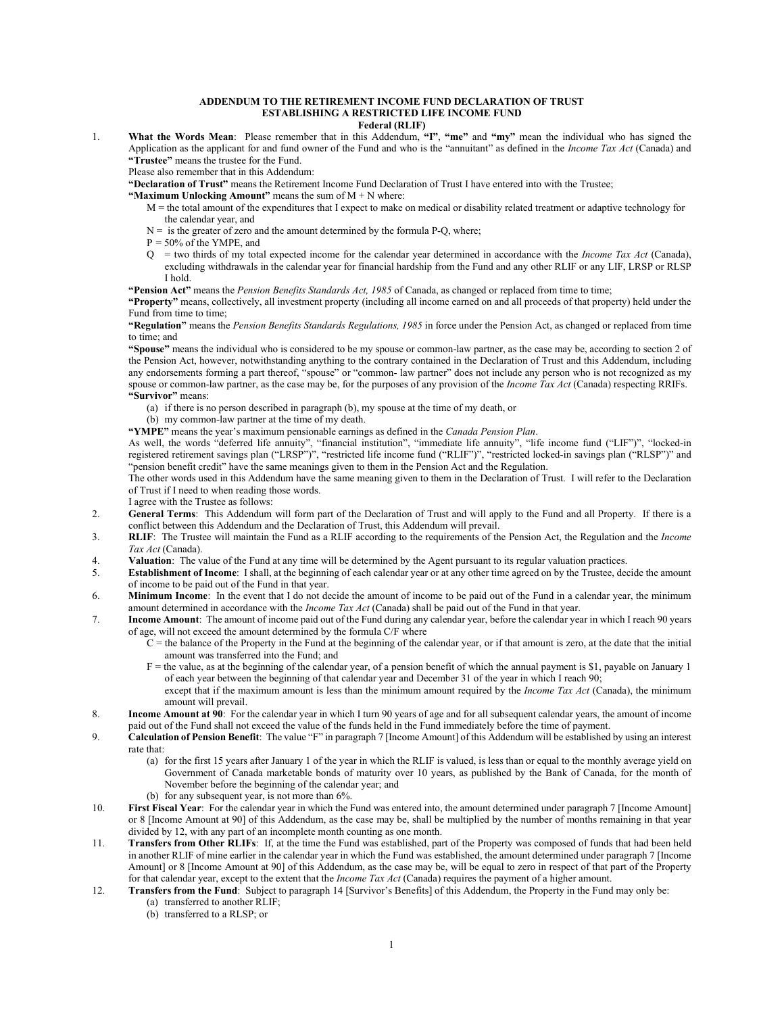## **ADDENDUM TO THE RETIREMENT INCOME FUND DECLARATION OF TRUST ESTABLISHING A RESTRICTED LIFE INCOME FUND**

## **Federal (RLIF)**

1. **What the Words Mean**: Please remember that in this Addendum, **"I"**, **"me"** and **"my"** mean the individual who has signed the Application as the applicant for and fund owner of the Fund and who is the "annuitant" as defined in the *Income Tax Act* (Canada) and **"Trustee"** means the trustee for the Fund.

Please also remember that in this Addendum:

**"Declaration of Trust"** means the Retirement Income Fund Declaration of Trust I have entered into with the Trustee;

**"Maximum Unlocking Amount"** means the sum of M + N where:

- M = the total amount of the expenditures that I expect to make on medical or disability related treatment or adaptive technology for the calendar year, and
- $N =$  is the greater of zero and the amount determined by the formula P-Q, where;
- $P = 50\%$  of the YMPE, and
- Q = two thirds of my total expected income for the calendar year determined in accordance with the *Income Tax Act* (Canada), excluding withdrawals in the calendar year for financial hardship from the Fund and any other RLIF or any LIF, LRSP or RLSP I hold.

**"Pension Act"** means the *Pension Benefits Standards Act, 1985* of Canada, as changed or replaced from time to time;

**"Property"** means, collectively, all investment property (including all income earned on and all proceeds of that property) held under the Fund from time to time;

**"Regulation"** means the *Pension Benefits Standards Regulations, 1985* in force under the Pension Act, as changed or replaced from time to time; and

**"Spouse"** means the individual who is considered to be my spouse or common-law partner, as the case may be, according to section 2 of the Pension Act, however, notwithstanding anything to the contrary contained in the Declaration of Trust and this Addendum, including any endorsements forming a part thereof, "spouse" or "common- law partner" does not include any person who is not recognized as my spouse or common-law partner, as the case may be, for the purposes of any provision of the *Income Tax Act* (Canada) respecting RRIFs. **"Survivor"** means:

- (a) if there is no person described in paragraph (b), my spouse at the time of my death, or
- (b) my common-law partner at the time of my death.

**"YMPE"** means the year's maximum pensionable earnings as defined in the *Canada Pension Plan*.

As well, the words "deferred life annuity", "financial institution", "immediate life annuity", "life income fund ("LIF")", "locked-in registered retirement savings plan ("LRSP")", "restricted life income fund ("RLIF")", "restricted locked-in savings plan ("RLSP")" and "pension benefit credit" have the same meanings given to them in the Pension Act and the Regulation.

The other words used in this Addendum have the same meaning given to them in the Declaration of Trust. I will refer to the Declaration of Trust if I need to when reading those words.

I agree with the Trustee as follows:

- 2. **General Terms**: This Addendum will form part of the Declaration of Trust and will apply to the Fund and all Property. If there is a conflict between this Addendum and the Declaration of Trust, this Addendum will prevail.
- 3. **RLIF**: The Trustee will maintain the Fund as a RLIF according to the requirements of the Pension Act, the Regulation and the *Income Tax Act* (Canada).
- 4. **Valuation**: The value of the Fund at any time will be determined by the Agent pursuant to its regular valuation practices.
- 5. **Establishment of Income**: I shall, at the beginning of each calendar year or at any other time agreed on by the Trustee, decide the amount of income to be paid out of the Fund in that year.
- 6. **Minimum Income**: In the event that I do not decide the amount of income to be paid out of the Fund in a calendar year, the minimum amount determined in accordance with the *Income Tax Act* (Canada) shall be paid out of the Fund in that year.
- 7. **Income Amount**: The amount of income paid out of the Fund during any calendar year, before the calendar year in which I reach 90 years of age, will not exceed the amount determined by the formula C/F where
	- $C$  = the balance of the Property in the Fund at the beginning of the calendar year, or if that amount is zero, at the date that the initial amount was transferred into the Fund; and
	- $F =$  the value, as at the beginning of the calendar year, of a pension benefit of which the annual payment is \$1, payable on January 1 of each year between the beginning of that calendar year and December 31 of the year in which I reach 90;
	- except that if the maximum amount is less than the minimum amount required by the *Income Tax Act* (Canada), the minimum amount will prevail.
- 8. **Income Amount at 90**: For the calendar year in which I turn 90 years of age and for all subsequent calendar years, the amount of income paid out of the Fund shall not exceed the value of the funds held in the Fund immediately before the time of payment.
- 9. **Calculation of Pension Benefit**: The value "F" in paragraph 7 [Income Amount] of this Addendum will be established by using an interest rate that:
	- (a) for the first 15 years after January 1 of the year in which the RLIF is valued, is less than or equal to the monthly average yield on Government of Canada marketable bonds of maturity over 10 years, as published by the Bank of Canada, for the month of November before the beginning of the calendar year; and
	- (b) for any subsequent year, is not more than 6%.
- 10. **First Fiscal Year**: For the calendar year in which the Fund was entered into, the amount determined under paragraph 7 [Income Amount] or 8 [Income Amount at 90] of this Addendum, as the case may be, shall be multiplied by the number of months remaining in that year divided by 12, with any part of an incomplete month counting as one month.
- 11. **Transfers from Other RLIFs**: If, at the time the Fund was established, part of the Property was composed of funds that had been held in another RLIF of mine earlier in the calendar year in which the Fund was established, the amount determined under paragraph 7 [Income Amount] or 8 [Income Amount at 90] of this Addendum, as the case may be, will be equal to zero in respect of that part of the Property for that calendar year, except to the extent that the *Income Tax Act* (Canada) requires the payment of a higher amount.
- 12. **Transfers from the Fund**: Subject to paragraph 14 [Survivor's Benefits] of this Addendum, the Property in the Fund may only be:
	- (a) transferred to another RLIF;
	- (b) transferred to a RLSP; or